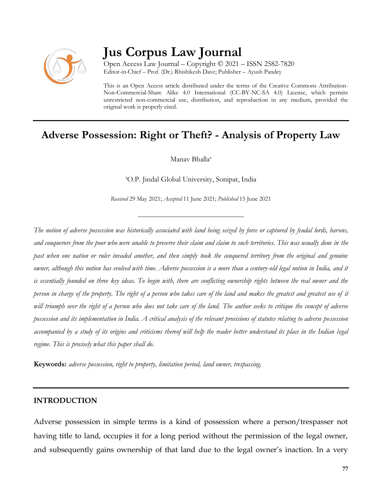

# **Jus Corpus Law Journal**

Open Access Law Journal – Copyright © 2021 – ISSN 2582-7820 Editor-in-Chief – Prof. (Dr.) Rhishikesh Dave; Publisher – Ayush Pandey

This is an Open Access article distributed under the terms of the Creative Commons Attribution-Non-Commercial-Share Alike 4.0 International (CC-BY-NC-SA 4.0) License, which permits unrestricted non-commercial use, distribution, and reproduction in any medium, provided the original work is properly cited.

# **Adverse Possession: Right or Theft? - Analysis of Property Law**

Manav Bhalla<sup>a</sup>

<sup>a</sup>O.P. Jindal Global University, Sonipat, India

*Received* 29 May 2021; *Accepted* 11 June 2021; *Published* 15 June 2021

\_\_\_\_\_\_\_\_\_\_\_\_\_\_\_\_\_\_\_\_\_\_\_\_\_\_\_\_\_\_\_\_\_\_

*The notion of adverse possession was historically associated with land being seized by force or captured by feudal lords, barons, and conquerors from the poor who were unable to preserve their claim and claim to such territories. This was usually done in the past when one nation or ruler invaded another, and then simply took the conquered territory from the original and genuine owner, although this notion has evolved with time. Adverse possession is a more than a century-old legal notion in India, and it is essentially founded on three key ideas. To begin with, there are conflicting ownership rights between the real owner and the person in charge of the property. The right of a person who takes care of the land and makes the greatest and greatest use of it will triumph over the right of a person who does not take care of the land. The author seeks to critique the concept of adverse possession and its implementation in India. A critical analysis of the relevant provisions of statutes relating to adverse possession accompanied by a study of its origins and criticisms thereof will help the reader better understand its place in the Indian legal regime. This is precisely what this paper shall do.*

**Keywords:** *adverse possession, right to property, limitation period, land owner, trespassing.*

### **INTRODUCTION**

Adverse possession in simple terms is a kind of possession where a person/trespasser not having title to land, occupies it for a long period without the permission of the legal owner, and subsequently gains ownership of that land due to the legal owner's inaction. In a very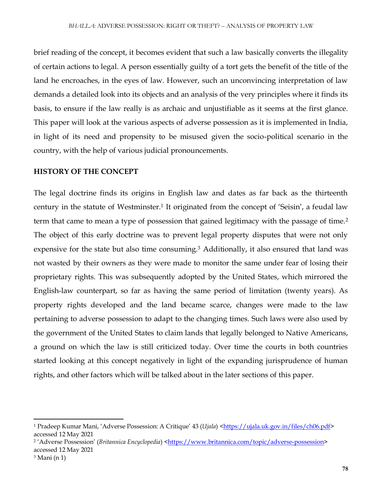brief reading of the concept, it becomes evident that such a law basically converts the illegality of certain actions to legal. A person essentially guilty of a tort gets the benefit of the title of the land he encroaches, in the eyes of law. However, such an unconvincing interpretation of law demands a detailed look into its objects and an analysis of the very principles where it finds its basis, to ensure if the law really is as archaic and unjustifiable as it seems at the first glance. This paper will look at the various aspects of adverse possession as it is implemented in India, in light of its need and propensity to be misused given the socio-political scenario in the country, with the help of various judicial pronouncements.

### **HISTORY OF THE CONCEPT**

The legal doctrine finds its origins in English law and dates as far back as the thirteenth century in the statute of Westminster.<sup>1</sup> It originated from the concept of 'Seisin', a feudal law term that came to mean a type of possession that gained legitimacy with the passage of time.<sup>2</sup> The object of this early doctrine was to prevent legal property disputes that were not only expensive for the state but also time consuming.<sup>3</sup> Additionally, it also ensured that land was not wasted by their owners as they were made to monitor the same under fear of losing their proprietary rights. This was subsequently adopted by the United States, which mirrored the English-law counterpart, so far as having the same period of limitation (twenty years). As property rights developed and the land became scarce, changes were made to the law pertaining to adverse possession to adapt to the changing times. Such laws were also used by the government of the United States to claim lands that legally belonged to Native Americans, a ground on which the law is still criticized today. Over time the courts in both countries started looking at this concept negatively in light of the expanding jurisprudence of human rights, and other factors which will be talked about in the later sections of this paper.

<sup>&</sup>lt;sup>1</sup> Pradeep Kumar Mani, 'Adverse Possession: A Critique' 43 (*Ujala*) [<https://ujala.uk.gov.in/files/ch06.pdf>](https://ujala.uk.gov.in/files/ch06.pdf) accessed 12 May 2021

<sup>&</sup>lt;sup>2</sup>'Adverse Possession' (*Britannica Encyclopedia*) [<https://www.britannica.com/topic/adverse-possession>](https://www.britannica.com/topic/adverse-possession) accessed 12 May 2021

<sup>3</sup> Mani (n 1)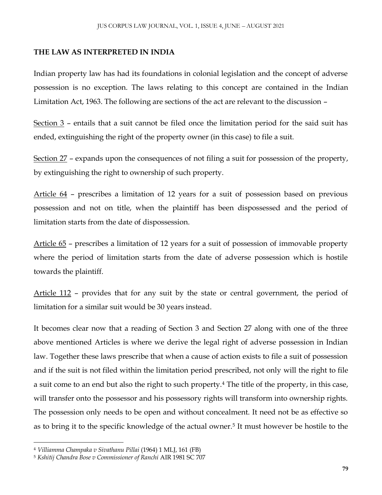## **THE LAW AS INTERPRETED IN INDIA**

Indian property law has had its foundations in colonial legislation and the concept of adverse possession is no exception. The laws relating to this concept are contained in the Indian Limitation Act, 1963. The following are sections of the act are relevant to the discussion –

Section 3 – entails that a suit cannot be filed once the limitation period for the said suit has ended, extinguishing the right of the property owner (in this case) to file a suit.

Section 27 – expands upon the consequences of not filing a suit for possession of the property, by extinguishing the right to ownership of such property.

Article 64 – prescribes a limitation of 12 years for a suit of possession based on previous possession and not on title, when the plaintiff has been dispossessed and the period of limitation starts from the date of dispossession.

Article 65 – prescribes a limitation of 12 years for a suit of possession of immovable property where the period of limitation starts from the date of adverse possession which is hostile towards the plaintiff.

Article 112 – provides that for any suit by the state or central government, the period of limitation for a similar suit would be 30 years instead.

It becomes clear now that a reading of Section 3 and Section 27 along with one of the three above mentioned Articles is where we derive the legal right of adverse possession in Indian law. Together these laws prescribe that when a cause of action exists to file a suit of possession and if the suit is not filed within the limitation period prescribed, not only will the right to file a suit come to an end but also the right to such property.<sup>4</sup> The title of the property, in this case, will transfer onto the possessor and his possessory rights will transform into ownership rights. The possession only needs to be open and without concealment. It need not be as effective so as to bring it to the specific knowledge of the actual owner.<sup>5</sup> It must however be hostile to the

 $\overline{\phantom{a}}$ 

<sup>4</sup> *Villiamma Champaka v Sivathanu Pillai* (1964) 1 MLJ, 161 (FB)

<sup>5</sup> *Kshitij Chandra Bose v Commissioner of Ranchi* AIR 1981 SC 707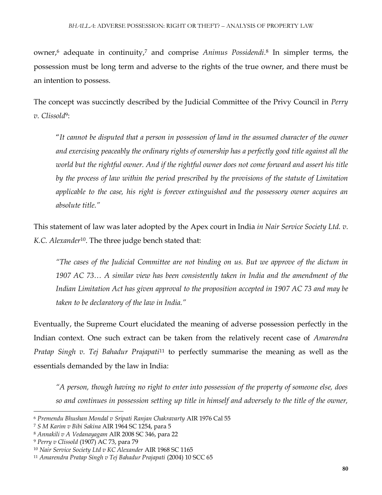owner,<sup>6</sup> adequate in continuity,<sup>7</sup> and comprise *Animus Possidendi*. 8 In simpler terms, the possession must be long term and adverse to the rights of the true owner, and there must be an intention to possess.

The concept was succinctly described by the Judicial Committee of the Privy Council in *Perry v. Clissold*<sup>9</sup> :

"*It cannot be disputed that a person in possession of land in the assumed character of the owner and exercising peaceably the ordinary rights of ownership has a perfectly good title against all the world but the rightful owner. And if the rightful owner does not come forward and assert his title by the process of law within the period prescribed by the provisions of the statute of Limitation applicable to the case, his right is forever extinguished and the possessory owner acquires an absolute title."* 

This statement of law was later adopted by the Apex court in India *in Nair Service Society Ltd. v. K.C. Alexander*10. The three judge bench stated that:

*"The cases of the Judicial Committee are not binding on us. But we approve of the dictum in 1907 AC 73… A similar view has been consistently taken in India and the amendment of the Indian Limitation Act has given approval to the proposition accepted in 1907 AC 73 and may be taken to be declaratory of the law in India."* 

Eventually, the Supreme Court elucidated the meaning of adverse possession perfectly in the Indian context. One such extract can be taken from the relatively recent case of *Amarendra Pratap Singh v. Tej Bahadur Prajapati*<sup>11</sup> to perfectly summarise the meaning as well as the essentials demanded by the law in India:

*"A person, though having no right to enter into possession of the property of someone else, does so and continues in possession setting up title in himself and adversely to the title of the owner,* 

<sup>6</sup> *Premendu Bhushan Mondal v Sripati Ranjan Chakravarty* AIR 1976 Cal 55

<sup>7</sup> *S M Karim v Bibi Sakina* AIR 1964 SC 1254, para 5

<sup>8</sup> *Annakili v A Vedanayagam* AIR 2008 SC 346, para 22

<sup>9</sup> *Perry v Clissold* (1907) AC 73, para 79

<sup>10</sup> *Nair Service Society Ltd v KC Alexander* AIR 1968 SC 1165

<sup>11</sup> *Amarendra Pratap Singh v Tej Bahadur Prajapati* (2004) 10 SCC 65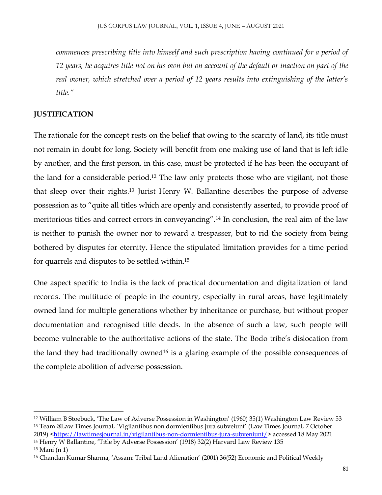*commences prescribing title into himself and such prescription having continued for a period of 12 years, he acquires title not on his own but on account of the default or inaction on part of the real owner, which stretched over a period of 12 years results into extinguishing of the latter's title."*

# **JUSTIFICATION**

The rationale for the concept rests on the belief that owing to the scarcity of land, its title must not remain in doubt for long. Society will benefit from one making use of land that is left idle by another, and the first person, in this case, must be protected if he has been the occupant of the land for a considerable period.<sup>12</sup> The law only protects those who are vigilant, not those that sleep over their rights.<sup>13</sup> Jurist Henry W. Ballantine describes the purpose of adverse possession as to "quite all titles which are openly and consistently asserted, to provide proof of meritorious titles and correct errors in conveyancing".<sup>14</sup> In conclusion, the real aim of the law is neither to punish the owner nor to reward a trespasser, but to rid the society from being bothered by disputes for eternity. Hence the stipulated limitation provides for a time period for quarrels and disputes to be settled within.<sup>15</sup>

One aspect specific to India is the lack of practical documentation and digitalization of land records. The multitude of people in the country, especially in rural areas, have legitimately owned land for multiple generations whether by inheritance or purchase, but without proper documentation and recognised title deeds. In the absence of such a law, such people will become vulnerable to the authoritative actions of the state. The Bodo tribe's dislocation from the land they had traditionally owned<sup>16</sup> is a glaring example of the possible consequences of the complete abolition of adverse possession.

<sup>14</sup> Henry W Ballantine, 'Title by Adverse Possession' (1918) 32(2) Harvard Law Review 135

<sup>12</sup> William B Stoebuck, 'The Law of Adverse Possession in Washington' (1960) 35(1) Washington Law Review 53 <sup>13</sup> Team @Law Times Journal, 'Vigilantibus non dormientibus jura subveiunt' (Law Times Journal, 7 October 2019) [<https://lawtimesjournal.in/vigilantibus-non-dormientibus-jura-subveniunt/>](https://lawtimesjournal.in/vigilantibus-non-dormientibus-jura-subveniunt/) accessed 18 May 2021

<sup>15</sup> Mani (n 1)

<sup>16</sup> Chandan Kumar Sharma, 'Assam: Tribal Land Alienation' (2001) 36(52) Economic and Political Weekly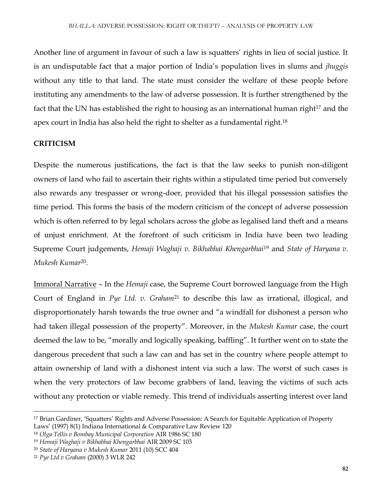Another line of argument in favour of such a law is squatters' rights in lieu of social justice. It is an undisputable fact that a major portion of India's population lives in slums and *jhuggis*  without any title to that land. The state must consider the welfare of these people before instituting any amendments to the law of adverse possession. It is further strengthened by the fact that the UN has established the right to housing as an international human right<sup>17</sup> and the apex court in India has also held the right to shelter as a fundamental right.<sup>18</sup>

# **CRITICISM**

Despite the numerous justifications, the fact is that the law seeks to punish non-diligent owners of land who fail to ascertain their rights within a stipulated time period but conversely also rewards any trespasser or wrong-doer, provided that his illegal possession satisfies the time period. This forms the basis of the modern criticism of the concept of adverse possession which is often referred to by legal scholars across the globe as legalised land theft and a means of unjust enrichment. At the forefront of such criticism in India have been two leading Supreme Court judgements, *Hemaji Waghaji v. Bikhabhai Khengarbhai*<sup>19</sup> and *State of Haryana v. Mukesh Kumar*<sup>20</sup> .

Immoral Narrative – In the *Hemaji* case, the Supreme Court borrowed language from the High Court of England in *Pye Ltd. v. Graham*<sup>21</sup> to describe this law as irrational, illogical, and disproportionately harsh towards the true owner and "a windfall for dishonest a person who had taken illegal possession of the property". Moreover, in the *Mukesh Kumar* case, the court deemed the law to be, "morally and logically speaking, baffling". It further went on to state the dangerous precedent that such a law can and has set in the country where people attempt to attain ownership of land with a dishonest intent via such a law. The worst of such cases is when the very protectors of law become grabbers of land, leaving the victims of such acts without any protection or viable remedy. This trend of individuals asserting interest over land

<sup>17</sup> Brian Gardiner, 'Squatters' Rights and Adverse Possession: A Search for Equitable Application of Property Laws' (1997) 8(1) Indiana International & Comparative Law Review 120

<sup>18</sup> *Olga Tellis v Bombay Municipal Corporation* AIR 1986 SC 180

<sup>19</sup> *Hemaji Waghaji v Bikhabhai Khengarbhai* AIR 2009 SC 103

<sup>20</sup> *State of Haryana v Mukesh Kumar* 2011 (10) SCC 404

<sup>21</sup> *Pye Ltd v Graham* (2000) 3 WLR 242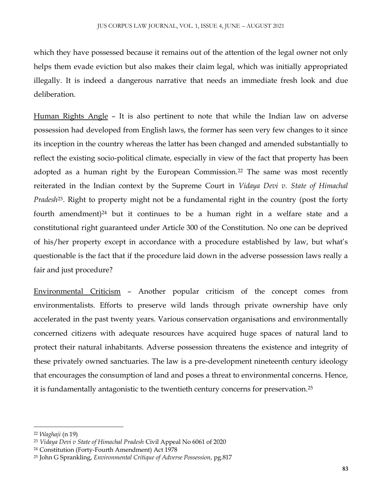which they have possessed because it remains out of the attention of the legal owner not only helps them evade eviction but also makes their claim legal, which was initially appropriated illegally. It is indeed a dangerous narrative that needs an immediate fresh look and due deliberation.

Human Rights Angle – It is also pertinent to note that while the Indian law on adverse possession had developed from English laws, the former has seen very few changes to it since its inception in the country whereas the latter has been changed and amended substantially to reflect the existing socio-political climate, especially in view of the fact that property has been adopted as a human right by the European Commission.<sup>22</sup> The same was most recently reiterated in the Indian context by the Supreme Court in *Vidaya Devi v. State of Himachal Pradesh*23. Right to property might not be a fundamental right in the country (post the forty fourth amendment)<sup>24</sup> but it continues to be a human right in a welfare state and a constitutional right guaranteed under Article 300 of the Constitution. No one can be deprived of his/her property except in accordance with a procedure established by law, but what's questionable is the fact that if the procedure laid down in the adverse possession laws really a fair and just procedure?

Environmental Criticism – Another popular criticism of the concept comes from environmentalists. Efforts to preserve wild lands through private ownership have only accelerated in the past twenty years. Various conservation organisations and environmentally concerned citizens with adequate resources have acquired huge spaces of natural land to protect their natural inhabitants. Adverse possession threatens the existence and integrity of these privately owned sanctuaries. The law is a pre-development nineteenth century ideology that encourages the consumption of land and poses a threat to environmental concerns. Hence, it is fundamentally antagonistic to the twentieth century concerns for preservation.<sup>25</sup>

 $\overline{\phantom{a}}$ 

<sup>22</sup> *Waghaji* (n 19)

<sup>23</sup> *Vidaya Devi v State of Himachal Pradesh* Civil Appeal No 6061 of 2020

<sup>24</sup> Constitution (Forty-Fourth Amendment) Act 1978

<sup>25</sup> John G Sprankling, *Environmental Critique of Adverse Possession*, pg.817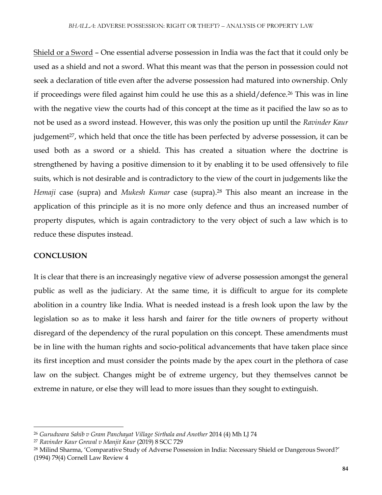Shield or a Sword – One essential adverse possession in India was the fact that it could only be used as a shield and not a sword. What this meant was that the person in possession could not seek a declaration of title even after the adverse possession had matured into ownership. Only if proceedings were filed against him could he use this as a shield/defence.<sup>26</sup> This was in line with the negative view the courts had of this concept at the time as it pacified the law so as to not be used as a sword instead. However, this was only the position up until the *Ravinder Kaur* judgement<sup>27</sup>, which held that once the title has been perfected by adverse possession, it can be used both as a sword or a shield. This has created a situation where the doctrine is strengthened by having a positive dimension to it by enabling it to be used offensively to file suits, which is not desirable and is contradictory to the view of the court in judgements like the *Hemaji* case (supra) and *Mukesh Kumar* case (supra).<sup>28</sup> This also meant an increase in the application of this principle as it is no more only defence and thus an increased number of property disputes, which is again contradictory to the very object of such a law which is to reduce these disputes instead.

### **CONCLUSION**

 $\overline{\phantom{a}}$ 

It is clear that there is an increasingly negative view of adverse possession amongst the general public as well as the judiciary. At the same time, it is difficult to argue for its complete abolition in a country like India. What is needed instead is a fresh look upon the law by the legislation so as to make it less harsh and fairer for the title owners of property without disregard of the dependency of the rural population on this concept. These amendments must be in line with the human rights and socio-political advancements that have taken place since its first inception and must consider the points made by the apex court in the plethora of case law on the subject. Changes might be of extreme urgency, but they themselves cannot be extreme in nature, or else they will lead to more issues than they sought to extinguish.

<sup>26</sup> *Gurudwara Sahib v Gram Panchayat Village Sirthala and Another* 2014 (4) Mh LJ 74

<sup>27</sup> *Ravinder Kaur Grewal v Manjit Kaur* (2019) 8 SCC 729

<sup>28</sup> Milind Sharma, 'Comparative Study of Adverse Possession in India: Necessary Shield or Dangerous Sword?' (1994) 79(4) Cornell Law Review 4